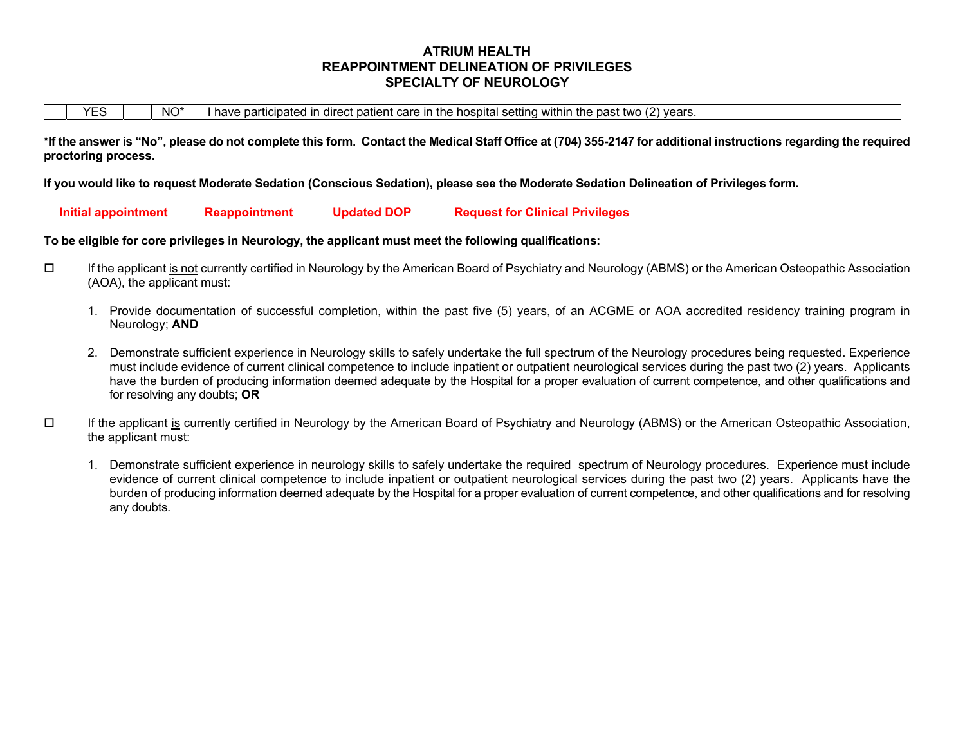## **ATRIUM HEALTH REAPPOINTMENT DELINEATION OF PRIVILEGES SPECIALTY OF NEUROLOGY**

**\*If the answer is "No", please do not complete this form. Contact the Medical Staff Office at (704) 355-2147 for additional instructions regarding the required proctoring process.** 

**If you would like to request Moderate Sedation (Conscious Sedation), please see the Moderate Sedation Delineation of Privileges form.** 

 **Initial appointment Reappointment Updated DOP Request for Clinical Privileges** 

#### **To be eligible for core privileges in Neurology, the applicant must meet the following qualifications:**

- If the applicant is not currently certified in Neurology by the American Board of Psychiatry and Neurology (ABMS) or the American Osteopathic Association (AOA), the applicant must:
	- 1. Provide documentation of successful completion, within the past five (5) years, of an ACGME or AOA accredited residency training program in Neurology; **AND**
	- 2. Demonstrate sufficient experience in Neurology skills to safely undertake the full spectrum of the Neurology procedures being requested. Experience must include evidence of current clinical competence to include inpatient or outpatient neurological services during the past two (2) years. Applicants have the burden of producing information deemed adequate by the Hospital for a proper evaluation of current competence, and other qualifications and for resolving any doubts; **OR**
- $\Box$  If the applicant is currently certified in Neurology by the American Board of Psychiatry and Neurology (ABMS) or the American Osteopathic Association, the applicant must:
	- 1. Demonstrate sufficient experience in neurology skills to safely undertake the required spectrum of Neurology procedures. Experience must include evidence of current clinical competence to include inpatient or outpatient neurological services during the past two (2) years. Applicants have the burden of producing information deemed adequate by the Hospital for a proper evaluation of current competence, and other qualifications and for resolving any doubts.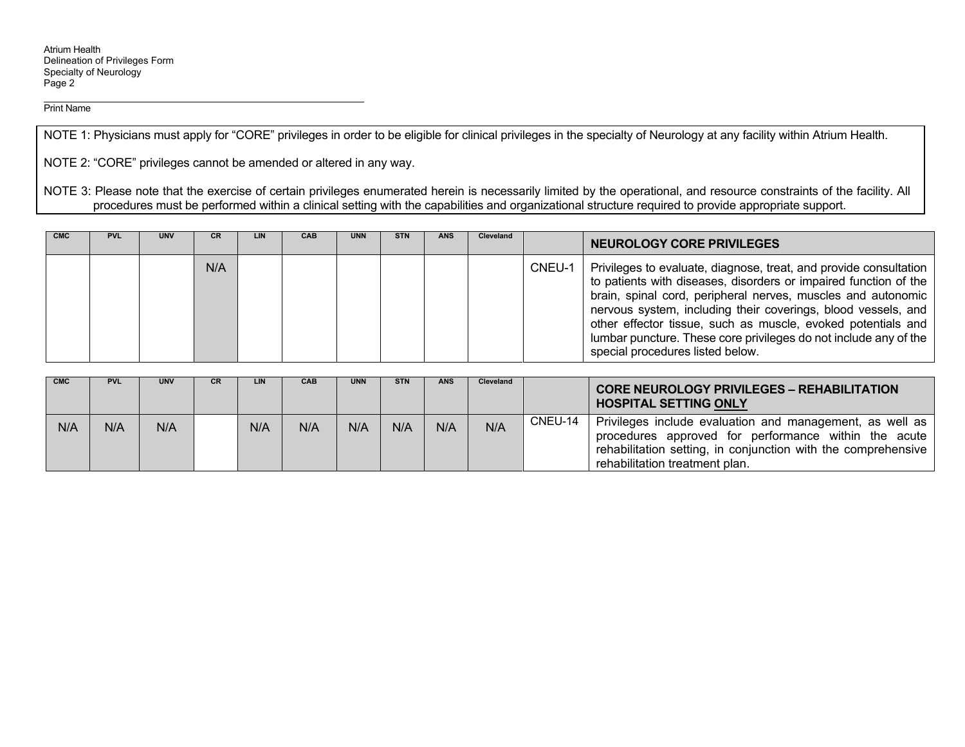Print Name

NOTE 1: Physicians must apply for "CORE" privileges in order to be eligible for clinical privileges in the specialty of Neurology at any facility within Atrium Health.

NOTE 2: "CORE" privileges cannot be amended or altered in any way.

NOTE 3: Please note that the exercise of certain privileges enumerated herein is necessarily limited by the operational, and resource constraints of the facility. All procedures must be performed within a clinical setting with the capabilities and organizational structure required to provide appropriate support.

| <b>CMC</b> | <b>PVL</b> | <b>UNV</b> | <b>CR</b> | LIN | <b>CAB</b> | <b>UNN</b> | <b>STN</b> | <b>ANS</b> | <b>Cleveland</b> |        | NEUROLOGY CORE PRIVILEGES                                                                                                                                                                                                                                                                                                                                                                                                                      |
|------------|------------|------------|-----------|-----|------------|------------|------------|------------|------------------|--------|------------------------------------------------------------------------------------------------------------------------------------------------------------------------------------------------------------------------------------------------------------------------------------------------------------------------------------------------------------------------------------------------------------------------------------------------|
|            |            |            | N/A       |     |            |            |            |            |                  | CNEU-1 | Privileges to evaluate, diagnose, treat, and provide consultation<br>to patients with diseases, disorders or impaired function of the<br>brain, spinal cord, peripheral nerves, muscles and autonomic<br>nervous system, including their coverings, blood vessels, and<br>other effector tissue, such as muscle, evoked potentials and<br>lumbar puncture. These core privileges do not include any of the<br>special procedures listed below. |

| <b>CMC</b> | <b>PVL</b> | <b>UNV</b> | CR. | LIN. | CAB | <b>UNN</b> | <b>STN</b> | <b>ANS</b> | Cleveland |         | <b>CORE NEUROLOGY PRIVILEGES - REHABILITATION</b><br><b>HOSPITAL SETTING ONLY</b>                                                                                                                                   |
|------------|------------|------------|-----|------|-----|------------|------------|------------|-----------|---------|---------------------------------------------------------------------------------------------------------------------------------------------------------------------------------------------------------------------|
| N/A        | N/A        | N/A        |     | N/A  | N/A | N/A        | N/A        | N/A        | N/A       | CNEU-14 | Privileges include evaluation and management, as well as<br>procedures approved for performance within the acute<br>rehabilitation setting, in conjunction with the comprehensive<br>rehabilitation treatment plan. |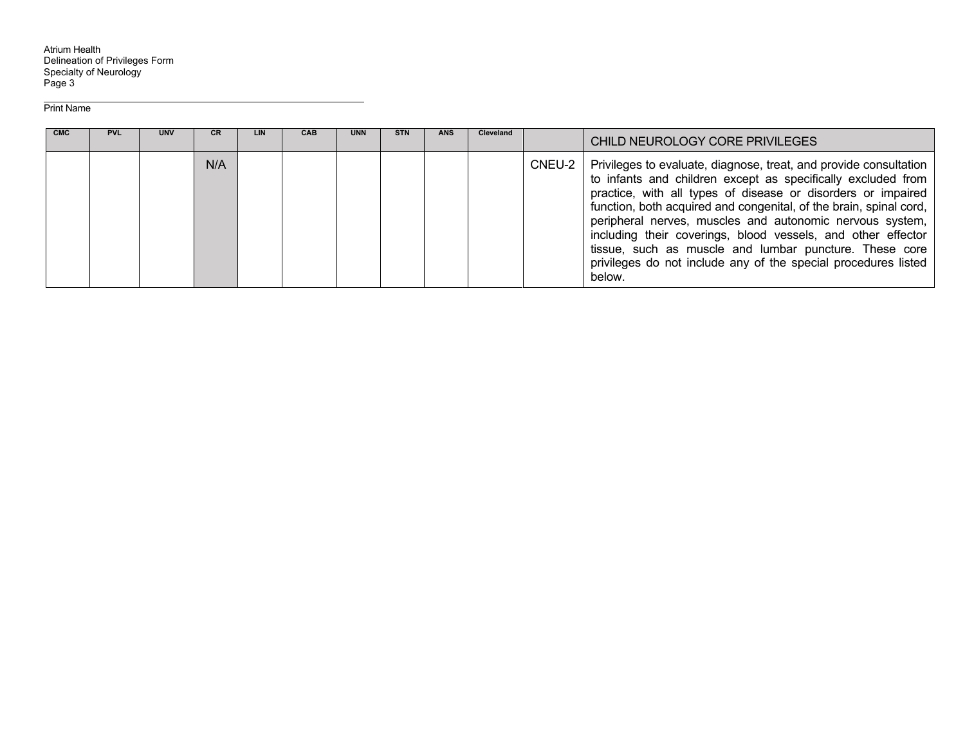Atrium Health<br>Delineation of Privileges Form Specialty of Neurology Page 3

Print Name

| <b>CMC</b> | <b>PVL</b> | UNV | CR. | LIN | <b>CAB</b> | <b>UNN</b> | <b>STN</b> | <b>ANS</b> | <b>Cleveland</b> |        | CHILD NEUROLOGY CORE PRIVILEGES                                                                                                                                                                                                                                                                                                                                                                                                                                                                                                           |
|------------|------------|-----|-----|-----|------------|------------|------------|------------|------------------|--------|-------------------------------------------------------------------------------------------------------------------------------------------------------------------------------------------------------------------------------------------------------------------------------------------------------------------------------------------------------------------------------------------------------------------------------------------------------------------------------------------------------------------------------------------|
|            |            |     | N/A |     |            |            |            |            |                  | CNEU-2 | Privileges to evaluate, diagnose, treat, and provide consultation<br>to infants and children except as specifically excluded from<br>practice, with all types of disease or disorders or impaired<br>function, both acquired and congenital, of the brain, spinal cord,<br>peripheral nerves, muscles and autonomic nervous system,<br>including their coverings, blood vessels, and other effector<br>tissue, such as muscle and lumbar puncture. These core<br>privileges do not include any of the special procedures listed<br>below. |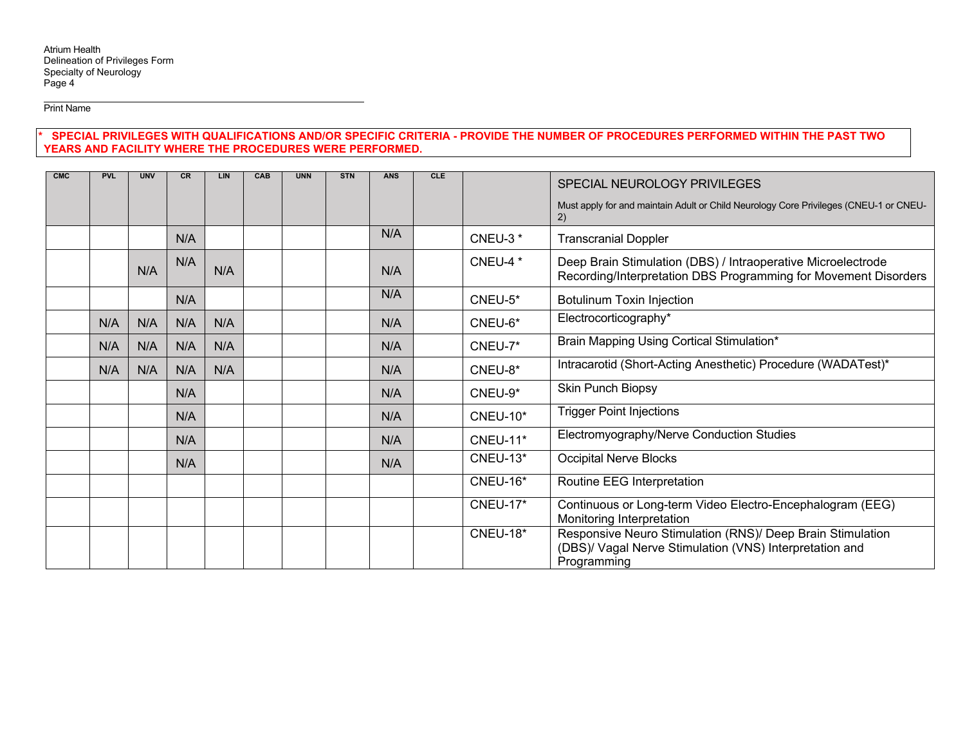Print Name

#### **\* SPECIAL PRIVILEGES WITH QUALIFICATIONS AND/OR SPECIFIC CRITERIA - PROVIDE THE NUMBER OF PROCEDURES PERFORMED WITHIN THE PAST TWO YEARS AND FACILITY WHERE THE PROCEDURES WERE PERFORMED.**

| <b>CMC</b> | <b>PVL</b> | <b>UNV</b> | CR  | <b>LIN</b> | CAB | <b>UNN</b> | <b>STN</b> | <b>ANS</b> | <b>CLE</b> |                 | SPECIAL NEUROLOGY PRIVILEGES                                                                                                         |
|------------|------------|------------|-----|------------|-----|------------|------------|------------|------------|-----------------|--------------------------------------------------------------------------------------------------------------------------------------|
|            |            |            |     |            |     |            |            |            |            |                 | Must apply for and maintain Adult or Child Neurology Core Privileges (CNEU-1 or CNEU-                                                |
|            |            |            |     |            |     |            |            |            |            |                 | (2)                                                                                                                                  |
|            |            |            | N/A |            |     |            |            | N/A        |            | <b>CNEU-3*</b>  | <b>Transcranial Doppler</b>                                                                                                          |
|            |            | N/A        | N/A | N/A        |     |            |            | N/A        |            | CNEU-4 *        | Deep Brain Stimulation (DBS) / Intraoperative Microelectrode<br>Recording/Interpretation DBS Programming for Movement Disorders      |
|            |            |            | N/A |            |     |            |            | N/A        |            | CNEU-5*         | <b>Botulinum Toxin Injection</b>                                                                                                     |
|            | N/A        | N/A        | N/A | N/A        |     |            |            | N/A        |            | CNEU-6*         | Electrocorticography*                                                                                                                |
|            | N/A        | N/A        | N/A | N/A        |     |            |            | N/A        |            | CNEU-7*         | Brain Mapping Using Cortical Stimulation*                                                                                            |
|            | N/A        | N/A        | N/A | N/A        |     |            |            | N/A        |            | CNEU-8*         | Intracarotid (Short-Acting Anesthetic) Procedure (WADATest)*                                                                         |
|            |            |            | N/A |            |     |            |            | N/A        |            | CNEU-9*         | Skin Punch Biopsy                                                                                                                    |
|            |            |            | N/A |            |     |            |            | N/A        |            | <b>CNEU-10*</b> | <b>Trigger Point Injections</b>                                                                                                      |
|            |            |            | N/A |            |     |            |            | N/A        |            | <b>CNEU-11*</b> | Electromyography/Nerve Conduction Studies                                                                                            |
|            |            |            | N/A |            |     |            |            | N/A        |            | CNEU-13*        | <b>Occipital Nerve Blocks</b>                                                                                                        |
|            |            |            |     |            |     |            |            |            |            | CNEU-16*        | Routine EEG Interpretation                                                                                                           |
|            |            |            |     |            |     |            |            |            |            | <b>CNEU-17*</b> | Continuous or Long-term Video Electro-Encephalogram (EEG)<br>Monitoring Interpretation                                               |
|            |            |            |     |            |     |            |            |            |            | CNEU-18*        | Responsive Neuro Stimulation (RNS)/ Deep Brain Stimulation<br>(DBS)/ Vagal Nerve Stimulation (VNS) Interpretation and<br>Programming |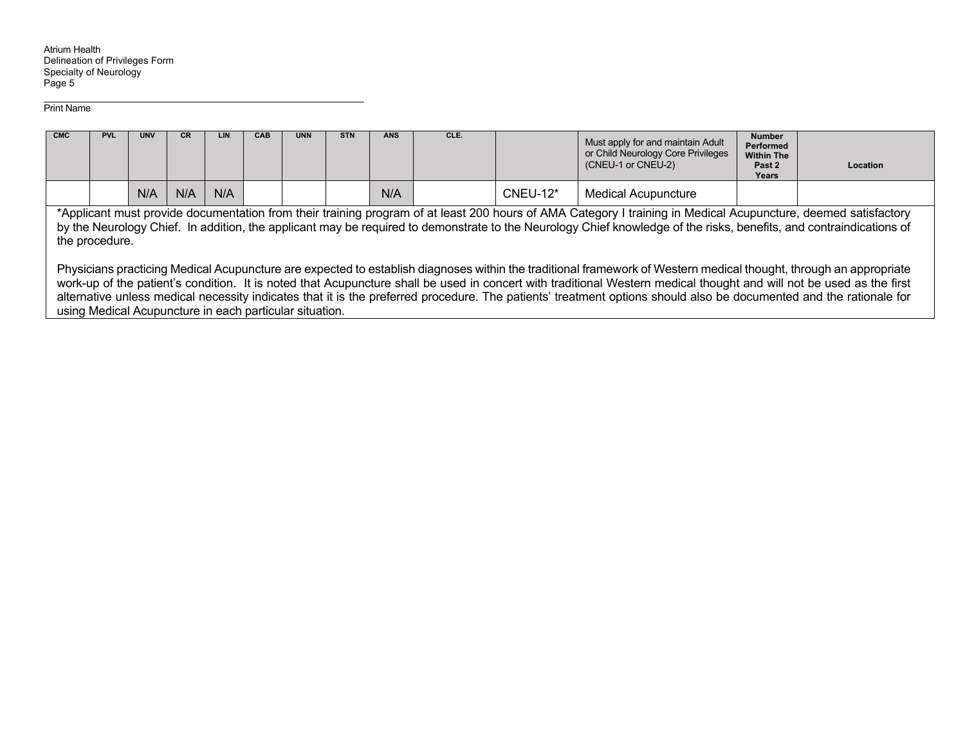Atrium Health Delineation of Privileges Form Specialty of Neurology Page 5

Print Name

| <b>CMC</b> | <b>PVL</b>                                                                                                                                                                                                                                                                                                                                              | <b>UNV</b> | <b>CR</b> |     | <b>CAB</b> | <b>UNN</b> | <b>STN</b> | <b>ANS</b> | CLE. |            | Must apply for and maintain Adult<br>or Child Neurology Core Privileges<br>(CNEU-1 or CNEU-2)                                                                                                                                                                                                                                                                                                                                                                                                                   | <b>Number</b><br>Performed<br><b>Within The</b><br>Past 2<br>Years | Location |
|------------|---------------------------------------------------------------------------------------------------------------------------------------------------------------------------------------------------------------------------------------------------------------------------------------------------------------------------------------------------------|------------|-----------|-----|------------|------------|------------|------------|------|------------|-----------------------------------------------------------------------------------------------------------------------------------------------------------------------------------------------------------------------------------------------------------------------------------------------------------------------------------------------------------------------------------------------------------------------------------------------------------------------------------------------------------------|--------------------------------------------------------------------|----------|
|            |                                                                                                                                                                                                                                                                                                                                                         | N/A        | N/A       | N/A |            |            |            | N/A        |      | $CNEU-12*$ | <b>Medical Acupuncture</b>                                                                                                                                                                                                                                                                                                                                                                                                                                                                                      |                                                                    |          |
|            | *Applicant must provide documentation from their training program of at least 200 hours of AMA Category I training in Medical Acupuncture, deemed satisfactory<br>by the Neurology Chief. In addition, the applicant may be required to demonstrate to the Neurology Chief knowledge of the risks, benefits, and contraindications of<br>the procedure. |            |           |     |            |            |            |            |      |            |                                                                                                                                                                                                                                                                                                                                                                                                                                                                                                                 |                                                                    |          |
|            |                                                                                                                                                                                                                                                                                                                                                         |            |           |     |            |            |            |            |      |            | Physicians practicing Medical Acupuncture are expected to establish diagnoses within the traditional framework of Western medical thought, through an appropriate<br>work-up of the patient's condition. It is noted that Acupuncture shall be used in concert with traditional Western medical thought and will not be used as the first<br>alternative unless medical necessity indicates that it is the preferred procedure. The patients' treatment options should also be documented and the rationale for |                                                                    |          |

using Medical Acupuncture in each particular situation.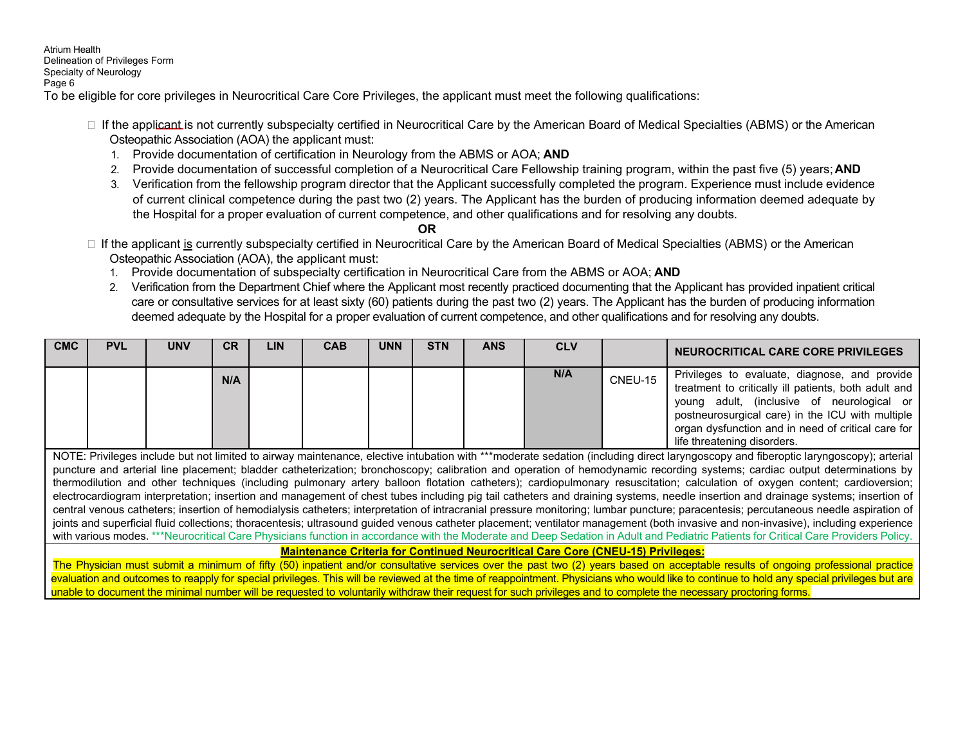Atrium Health Delineation of Privileges Form Specialty of Neurology Page 6 To be eligible for core privileges in Neurocritical Care Core Privileges, the applicant must meet the following qualifications:

- $\Box$  If the applicant is not currently subspecialty certified in Neurocritical Care by the American Board of Medical Specialties (ABMS) or the American Osteopathic Association (AOA) the applicant must:
	- 1. Provide documentation of certification in Neurology from the ABMS or AOA; **AND**
	- 2. Provide documentation of successful completion of a Neurocritical Care Fellowship training program, within the past five (5) years; **AND**
	- 3. Verification from the fellowship program director that the Applicant successfully completed the program. Experience must include evidence of current clinical competence during the past two (2) years. The Applicant has the burden of producing information deemed adequate by the Hospital for a proper evaluation of current competence, and other qualifications and for resolving any doubts.
		- **OR**
- □ If the applicant is currently subspecialty certified in Neurocritical Care by the American Board of Medical Specialties (ABMS) or the American Osteopathic Association (AOA), the applicant must:
	- 1. Provide documentation of subspecialty certification in Neurocritical Care from the ABMS or AOA; **AND**
	- 2. Verification from the Department Chief where the Applicant most recently practiced documenting that the Applicant has provided inpatient critical care or consultative services for at least sixty (60) patients during the past two (2) years. The Applicant has the burden of producing information deemed adequate by the Hospital for a proper evaluation of current competence, and other qualifications and for resolving any doubts.

| <b>CMC</b> | <b>PVL</b>                                                                                                                                                                        | <b>UNV</b> | <b>CR</b> | <b>LIN</b> | <b>CAB</b> | <b>UNN</b> | <b>STN</b> | <b>ANS</b> | <b>CLV</b> |         | NEUROCRITICAL CARE CORE PRIVILEGES                                                                                                                                                                                                                                                                                                                               |
|------------|-----------------------------------------------------------------------------------------------------------------------------------------------------------------------------------|------------|-----------|------------|------------|------------|------------|------------|------------|---------|------------------------------------------------------------------------------------------------------------------------------------------------------------------------------------------------------------------------------------------------------------------------------------------------------------------------------------------------------------------|
|            |                                                                                                                                                                                   |            | N/A       |            |            |            |            |            | N/A        | CNEU-15 | Privileges to evaluate, diagnose, and provide<br>treatment to critically ill patients, both adult and<br>young adult, (inclusive of neurological or<br>postneurosurgical care) in the ICU with multiple<br>organ dysfunction and in need of critical care for<br>life threatening disorders.                                                                     |
|            |                                                                                                                                                                                   |            |           |            |            |            |            |            |            |         | NOTE: Privileges include but not limited to airway maintenance, elective intubation with ***moderate sedation (including direct laryngoscopy and fiberoptic laryngoscopy); arterial<br>puncture and arterial line placement; bladder catheterization; bronchoscopy; calibration and operation of hemodynamic recording systems; cardiac output determinations by |
|            |                                                                                                                                                                                   |            |           |            |            |            |            |            |            |         | thermodilution and other techniques (including pulmonary artery balloon flotation catheters); cardiopulmonary resuscitation; calculation of oxygen content; cardioversion;                                                                                                                                                                                       |
|            |                                                                                                                                                                                   |            |           |            |            |            |            |            |            |         | electrocardiogram interpretation; insertion and management of chest tubes including pig tail catheters and draining systems, needle insertion and drainage systems; insertion of                                                                                                                                                                                 |
|            |                                                                                                                                                                                   |            |           |            |            |            |            |            |            |         | central venous catheters; insertion of hemodialysis catheters; interpretation of intracranial pressure monitoring; lumbar puncture; paracentesis; percutaneous needle aspiration of                                                                                                                                                                              |
|            |                                                                                                                                                                                   |            |           |            |            |            |            |            |            |         | joints and superficial fluid collections; thoracentesis; ultrasound guided venous catheter placement; ventilator management (both invasive and non-invasive), including experience                                                                                                                                                                               |
|            |                                                                                                                                                                                   |            |           |            |            |            |            |            |            |         | with various modes. ***Neurocritical Care Physicians function in accordance with the Moderate and Deep Sedation in Adult and Pediatric Patients for Critical Care Providers Policy.                                                                                                                                                                              |
|            | <b>Maintenance Criteria for Continued Neurocritical Care Core (CNEU-15) Privileges:</b>                                                                                           |            |           |            |            |            |            |            |            |         |                                                                                                                                                                                                                                                                                                                                                                  |
|            | The Physician must submit a minimum of fifty (50) inpatient and/or consultative services over the past two (2) years based on acceptable results of ongoing professional practice |            |           |            |            |            |            |            |            |         |                                                                                                                                                                                                                                                                                                                                                                  |

evaluation and outcomes to reapply for special privileges. This will be reviewed at the time of reappointment. Physicians who would like to continue to hold any special privileges but are unable to document the minimal number will be requested to voluntarily withdraw their request for such privileges and to complete the necessary proctoring forms.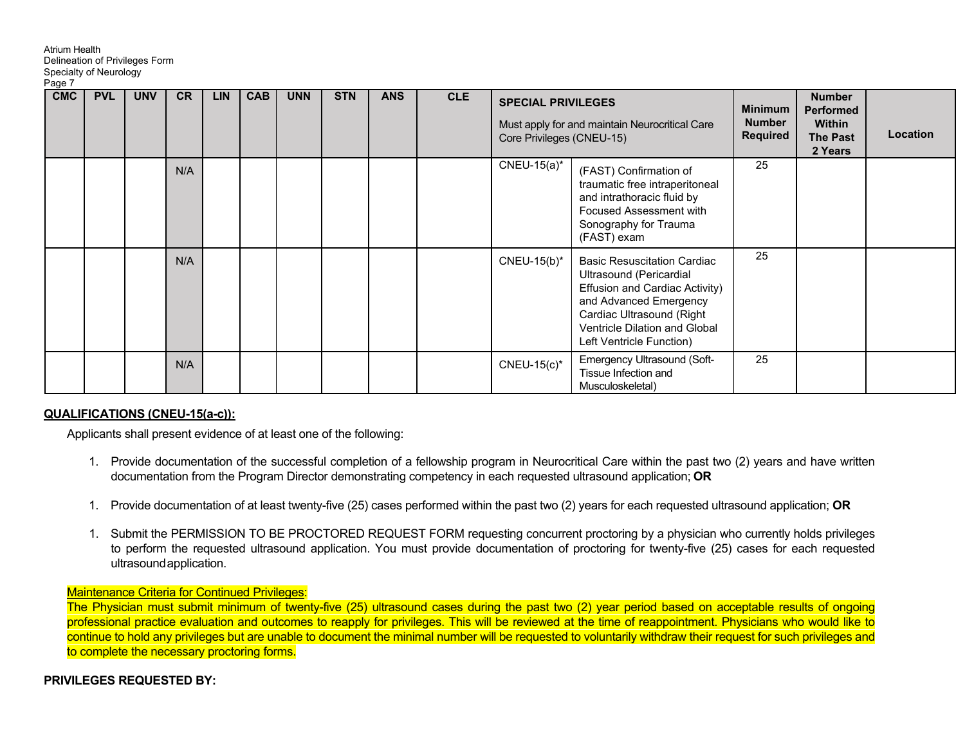| Page 7     | Specialty of Neurology |            |           |            |            |            |            |            |            |                                                        |                                                                                                                                                                                                                     |                                                    |                                                                           |          |
|------------|------------------------|------------|-----------|------------|------------|------------|------------|------------|------------|--------------------------------------------------------|---------------------------------------------------------------------------------------------------------------------------------------------------------------------------------------------------------------------|----------------------------------------------------|---------------------------------------------------------------------------|----------|
| <b>CMC</b> | <b>PVL</b>             | <b>UNV</b> | <b>CR</b> | <b>LIN</b> | <b>CAB</b> | <b>UNN</b> | <b>STN</b> | <b>ANS</b> | <b>CLE</b> | <b>SPECIAL PRIVILEGES</b><br>Core Privileges (CNEU-15) | Must apply for and maintain Neurocritical Care                                                                                                                                                                      | <b>Minimum</b><br><b>Number</b><br><b>Required</b> | <b>Number</b><br><b>Performed</b><br>Within<br><b>The Past</b><br>2 Years | Location |
|            |                        |            | N/A       |            |            |            |            |            |            | $CNEU-15(a)^*$                                         | (FAST) Confirmation of<br>traumatic free intraperitoneal<br>and intrathoracic fluid by<br>Focused Assessment with<br>Sonography for Trauma<br>(FAST) exam                                                           | 25                                                 |                                                                           |          |
|            |                        |            | N/A       |            |            |            |            |            |            | CNEU-15(b)*                                            | <b>Basic Resuscitation Cardiac</b><br>Ultrasound (Pericardial<br>Effusion and Cardiac Activity)<br>and Advanced Emergency<br>Cardiac Ultrasound (Right<br>Ventricle Dilation and Global<br>Left Ventricle Function) | 25                                                 |                                                                           |          |
|            |                        |            | N/A       |            |            |            |            |            |            | $CNEU-15(c)^*$                                         | Emergency Ultrasound (Soft-<br>Tissue Infection and<br>Musculoskeletal)                                                                                                                                             | 25                                                 |                                                                           |          |

#### **QUALIFICATIONS (CNEU-15(a-c)):**

Atrium Health

Delineation of Privileges Form

Applicants shall present evidence of at least one of the following:

- 1. Provide documentation of the successful completion of a fellowship program in Neurocritical Care within the past two (2) years and have written documentation from the Program Director demonstrating competency in each requested ultrasound application; **OR**
- 1. Provide documentation of at least twenty-five (25) cases performed within the past two (2) years for each requested ultrasound application; **OR**
- 1. Submit the PERMISSION TO BE PROCTORED REQUEST FORM requesting concurrent proctoring by a physician who currently holds privileges to perform the requested ultrasound application. You must provide documentation of proctoring for twenty-five (25) cases for each requested ultrasound application.

#### Maintenance Criteria for Continued Privileges:

The Physician must submit minimum of twenty-five (25) ultrasound cases during the past two (2) year period based on acceptable results of ongoing professional practice evaluation and outcomes to reapply for privileges. This will be reviewed at the time of reappointment. Physicians who would like to continue to hold any privileges but are unable to document the minimal number will be requested to voluntarily withdraw their request for such privileges and to complete the necessary proctoring forms.

#### **PRIVILEGES REQUESTED BY:**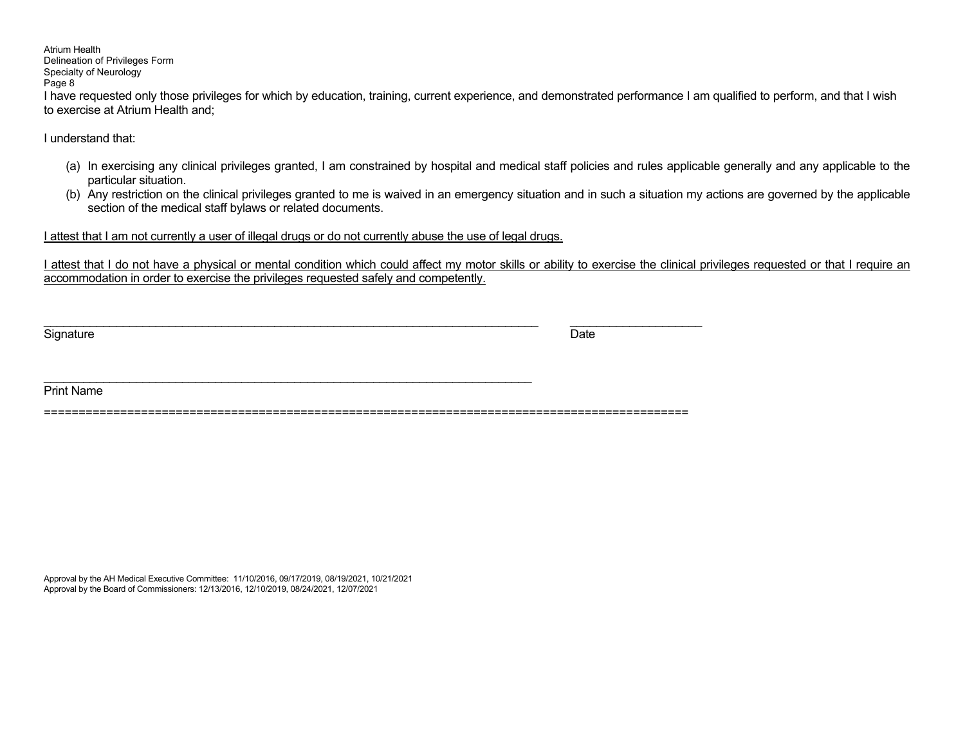# Atrium Health

#### Delineation of Privileges Form Specialty of Neurology

Page 8

I have requested only those privileges for which by education, training, current experience, and demonstrated performance I am qualified to perform, and that I wish to exercise at Atrium Health and;

I understand that:

- (a) In exercising any clinical privileges granted, I am constrained by hospital and medical staff policies and rules applicable generally and any applicable to the particular situation.
- (b) Any restriction on the clinical privileges granted to me is waived in an emergency situation and in such a situation my actions are governed by the applicable section of the medical staff bylaws or related documents.

I attest that I am not currently a user of illegal drugs or do not currently abuse the use of legal drugs.

I attest that I do not have a physical or mental condition which could affect my motor skills or ability to exercise the clinical privileges requested or that I require an accommodation in order to exercise the privileges requested safely and competently.

Signature Date **Date of the Contract of Contract Contract of Contract Contract Contract O** 

\_\_\_\_\_\_\_\_\_\_\_\_\_\_\_\_\_\_\_\_\_\_\_\_\_\_\_\_\_\_\_\_\_\_\_\_\_\_\_\_\_\_\_\_\_\_\_\_\_\_\_\_\_\_\_\_\_\_\_\_\_\_\_\_\_\_\_\_\_\_\_\_\_\_\_ \_\_\_\_\_\_\_\_\_\_\_\_\_\_\_\_\_\_\_\_

\_\_\_\_\_\_\_\_\_\_\_\_\_\_\_\_\_\_\_\_\_\_\_\_\_\_\_\_\_\_\_\_\_\_\_\_\_\_\_\_\_\_\_\_\_\_\_\_\_\_\_\_\_\_\_\_\_\_\_\_\_\_\_\_\_\_\_\_\_\_\_\_\_\_ Print Name

=============================================================================================

Approval by the AH Medical Executive Committee: 11/10/2016, 09/17/2019, 08/19/2021, 10/21/2021 Approval by the Board of Commissioners: 12/13/2016, 12/10/2019, 08/24/2021, 12/07/2021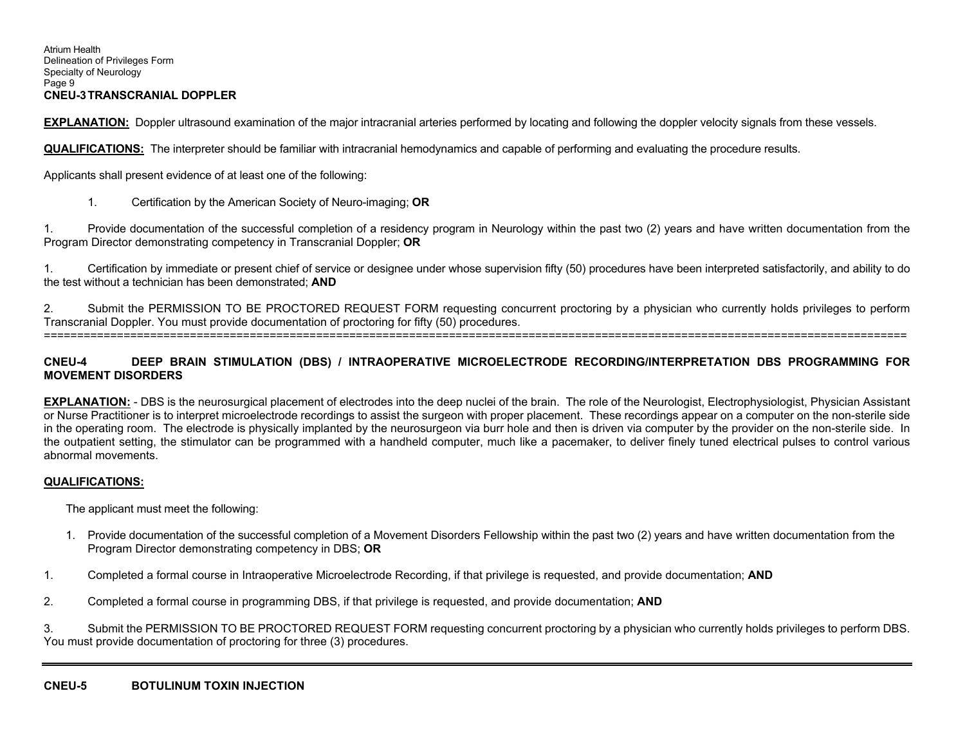#### Atrium Health Delineation of Privileges Form Specialty of Neurology Page 9 **CNEU-3 TRANSCRANIAL DOPPLER**

**EXPLANATION:** Doppler ultrasound examination of the major intracranial arteries performed by locating and following the doppler velocity signals from these vessels.

**QUALIFICATIONS:** The interpreter should be familiar with intracranial hemodynamics and capable of performing and evaluating the procedure results.

Applicants shall present evidence of at least one of the following:

1. Certification by the American Society of Neuro-imaging; **OR** 

1. Provide documentation of the successful completion of a residency program in Neurology within the past two (2) years and have written documentation from the Program Director demonstrating competency in Transcranial Doppler; **OR** 

1. Certification by immediate or present chief of service or designee under whose supervision fifty (50) procedures have been interpreted satisfactorily, and ability to do the test without a technician has been demonstrated; **AND**

2. Submit the PERMISSION TO BE PROCTORED REQUEST FORM requesting concurrent proctoring by a physician who currently holds privileges to perform Transcranial Doppler. You must provide documentation of proctoring for fifty (50) procedures. ==================================================================================================================================

#### **CNEU-4 DEEP BRAIN STIMULATION (DBS) / INTRAOPERATIVE MICROELECTRODE RECORDING/INTERPRETATION DBS PROGRAMMING FOR MOVEMENT DISORDERS**

**EXPLANATION:** - DBS is the neurosurgical placement of electrodes into the deep nuclei of the brain. The role of the Neurologist, Electrophysiologist, Physician Assistant or Nurse Practitioner is to interpret microelectrode recordings to assist the surgeon with proper placement. These recordings appear on a computer on the non-sterile side in the operating room. The electrode is physically implanted by the neurosurgeon via burr hole and then is driven via computer by the provider on the non-sterile side. In the outpatient setting, the stimulator can be programmed with a handheld computer, much like a pacemaker, to deliver finely tuned electrical pulses to control various abnormal movements.

#### **QUALIFICATIONS:**

The applicant must meet the following:

- 1. Provide documentation of the successful completion of a Movement Disorders Fellowship within the past two (2) years and have written documentation from the Program Director demonstrating competency in DBS; **OR**
- 1. Completed a formal course in Intraoperative Microelectrode Recording, if that privilege is requested, and provide documentation; **AND**
- 2. Completed a formal course in programming DBS, if that privilege is requested, and provide documentation; **AND**

3. Submit the PERMISSION TO BE PROCTORED REQUEST FORM requesting concurrent proctoring by a physician who currently holds privileges to perform DBS. You must provide documentation of proctoring for three (3) procedures.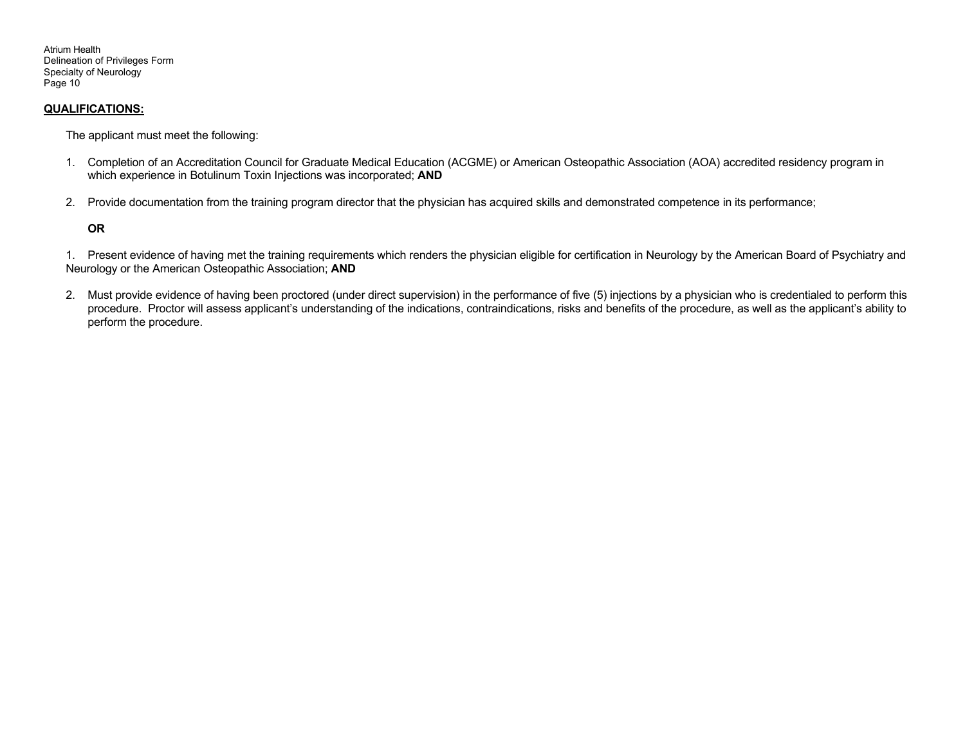Atrium Health Delineation of Privileges Form Specialty of Neurology Page 10

#### **QUALIFICATIONS:**

The applicant must meet the following:

- 1. Completion of an Accreditation Council for Graduate Medical Education (ACGME) or American Osteopathic Association (AOA) accredited residency program in which experience in Botulinum Toxin Injections was incorporated; **AND**
- 2. Provide documentation from the training program director that the physician has acquired skills and demonstrated competence in its performance;

#### **OR**

1. Present evidence of having met the training requirements which renders the physician eligible for certification in Neurology by the American Board of Psychiatry and Neurology or the American Osteopathic Association; **AND**

2. Must provide evidence of having been proctored (under direct supervision) in the performance of five (5) injections by a physician who is credentialed to perform this procedure. Proctor will assess applicant's understanding of the indications, contraindications, risks and benefits of the procedure, as well as the applicant's ability to perform the procedure.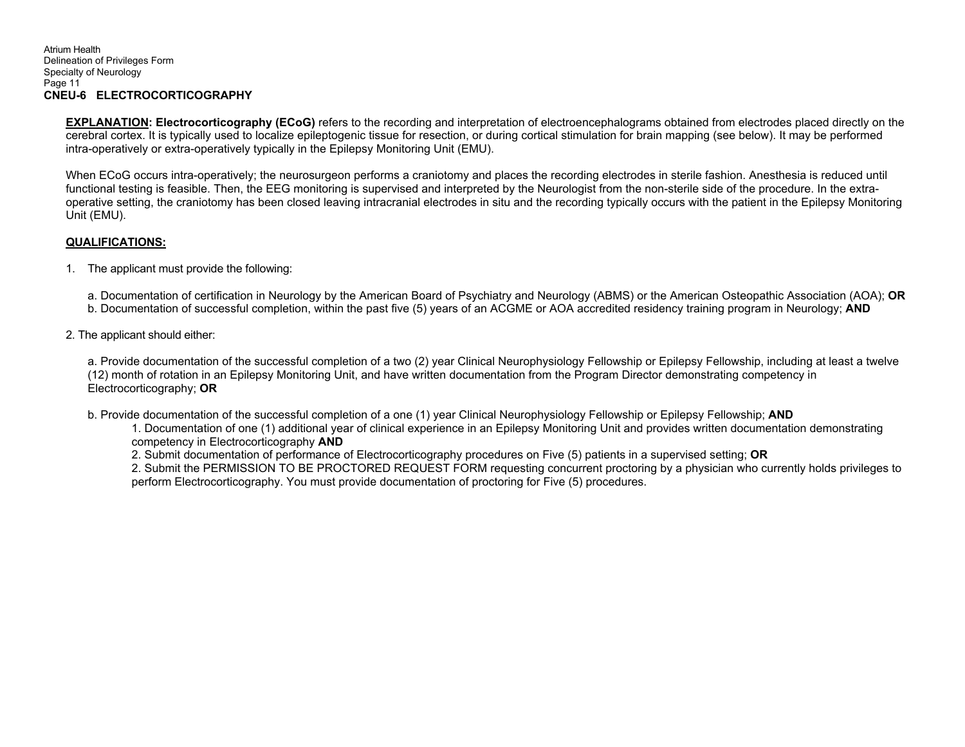**EXPLANATION: Electrocorticography (ECoG)** refers to the recording and interpretation of electroencephalograms obtained from electrodes placed directly on the cerebral cortex. It is typically used to localize epileptogenic tissue for resection, or during cortical stimulation for brain mapping (see below). It may be performed intra-operatively or extra-operatively typically in the Epilepsy Monitoring Unit (EMU).

 When ECoG occurs intra-operatively; the neurosurgeon performs a craniotomy and places the recording electrodes in sterile fashion. Anesthesia is reduced until functional testing is feasible. Then, the EEG monitoring is supervised and interpreted by the Neurologist from the non-sterile side of the procedure. In the extraoperative setting, the craniotomy has been closed leaving intracranial electrodes in situ and the recording typically occurs with the patient in the Epilepsy Monitoring Unit (EMU).

#### **QUALIFICATIONS:**

1. The applicant must provide the following:

a. Documentation of certification in Neurology by the American Board of Psychiatry and Neurology (ABMS) or the American Osteopathic Association (AOA); **OR**

- b. Documentation of successful completion, within the past five (5) years of an ACGME or AOA accredited residency training program in Neurology; **AND**
- 2. The applicant should either:

a. Provide documentation of the successful completion of a two (2) year Clinical Neurophysiology Fellowship or Epilepsy Fellowship, including at least a twelve (12) month of rotation in an Epilepsy Monitoring Unit, and have written documentation from the Program Director demonstrating competency in Electrocorticography; **OR** 

b. Provide documentation of the successful completion of a one (1) year Clinical Neurophysiology Fellowship or Epilepsy Fellowship; **AND** 

1. Documentation of one (1) additional year of clinical experience in an Epilepsy Monitoring Unit and provides written documentation demonstrating competency in Electrocorticography **AND** 

2. Submit documentation of performance of Electrocorticography procedures on Five (5) patients in a supervised setting; **OR** 

2. Submit the PERMISSION TO BE PROCTORED REQUEST FORM requesting concurrent proctoring by a physician who currently holds privileges to perform Electrocorticography. You must provide documentation of proctoring for Five (5) procedures.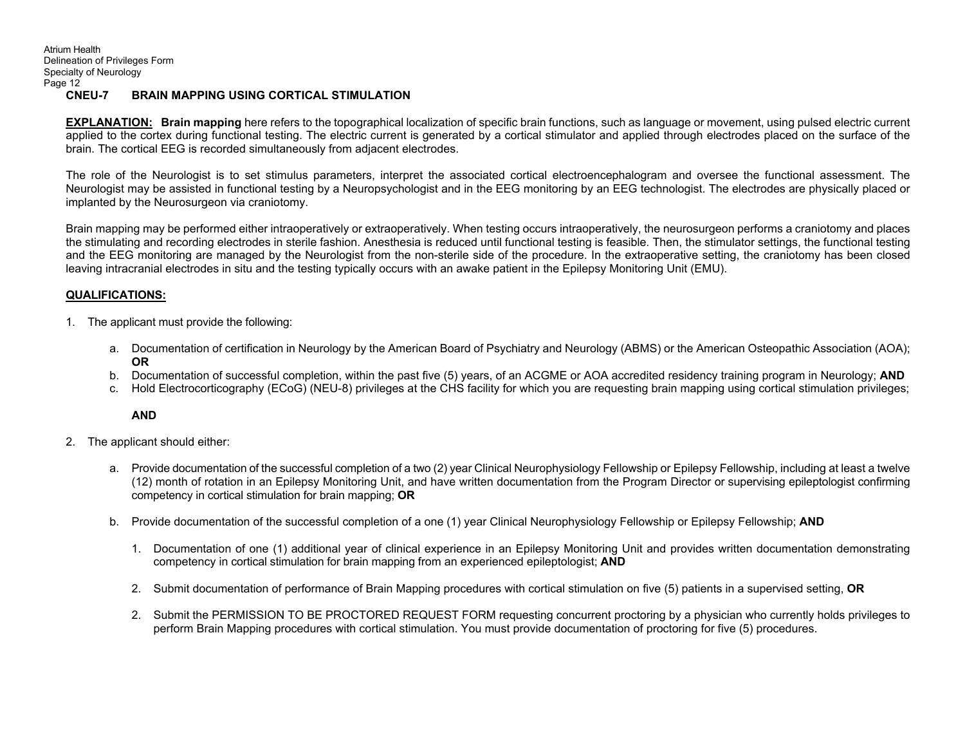**EXPLANATION: Brain mapping** here refers to the topographical localization of specific brain functions, such as language or movement, using pulsed electric current applied to the cortex during functional testing. The electric current is generated by a cortical stimulator and applied through electrodes placed on the surface of the brain. The cortical EEG is recorded simultaneously from adjacent electrodes.

The role of the Neurologist is to set stimulus parameters, interpret the associated cortical electroencephalogram and oversee the functional assessment. The Neurologist may be assisted in functional testing by a Neuropsychologist and in the EEG monitoring by an EEG technologist. The electrodes are physically placed or implanted by the Neurosurgeon via craniotomy.

Brain mapping may be performed either intraoperatively or extraoperatively. When testing occurs intraoperatively, the neurosurgeon performs a craniotomy and places the stimulating and recording electrodes in sterile fashion. Anesthesia is reduced until functional testing is feasible. Then, the stimulator settings, the functional testing and the EEG monitoring are managed by the Neurologist from the non-sterile side of the procedure. In the extraoperative setting, the craniotomy has been closed leaving intracranial electrodes in situ and the testing typically occurs with an awake patient in the Epilepsy Monitoring Unit (EMU).

#### **QUALIFICATIONS:**

- 1. The applicant must provide the following:
	- a. Documentation of certification in Neurology by the American Board of Psychiatry and Neurology (ABMS) or the American Osteopathic Association (AOA); **OR**
	- b. Documentation of successful completion, within the past five (5) years, of an ACGME or AOA accredited residency training program in Neurology; **AND**
	- c. Hold Electrocorticography (ECoG) (NEU-8) privileges at the CHS facility for which you are requesting brain mapping using cortical stimulation privileges;

**AND**

- 2. The applicant should either:
	- a. Provide documentation of the successful completion of a two (2) year Clinical Neurophysiology Fellowship or Epilepsy Fellowship, including at least a twelve (12) month of rotation in an Epilepsy Monitoring Unit, and have written documentation from the Program Director or supervising epileptologist confirming competency in cortical stimulation for brain mapping; **OR**
	- b. Provide documentation of the successful completion of a one (1) year Clinical Neurophysiology Fellowship or Epilepsy Fellowship; **AND**
		- 1. Documentation of one (1) additional year of clinical experience in an Epilepsy Monitoring Unit and provides written documentation demonstrating competency in cortical stimulation for brain mapping from an experienced epileptologist; **AND**
		- 2. Submit documentation of performance of Brain Mapping procedures with cortical stimulation on five (5) patients in a supervised setting, **OR**
		- 2. Submit the PERMISSION TO BE PROCTORED REQUEST FORM requesting concurrent proctoring by a physician who currently holds privileges to perform Brain Mapping procedures with cortical stimulation. You must provide documentation of proctoring for five (5) procedures.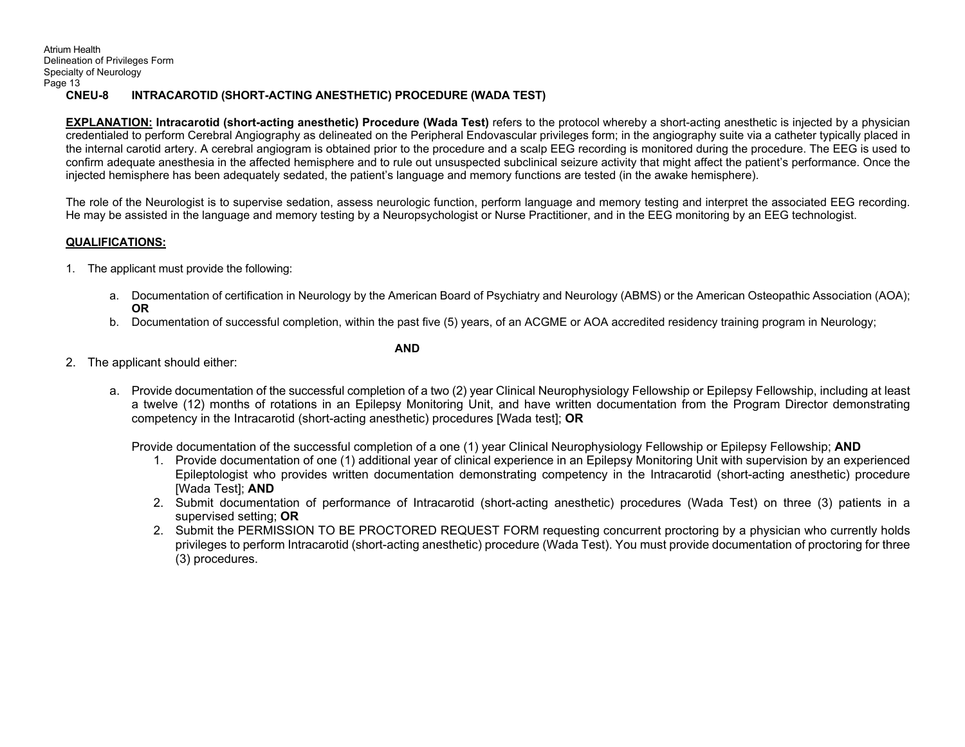Atrium Health Delineation of Privileges Form Specialty of Neurology Page 13  **CNEU-8 INTRACAROTID (SHORT-ACTING ANESTHETIC) PROCEDURE (WADA TEST)** 

**EXPLANATION: Intracarotid (short-acting anesthetic) Procedure (Wada Test)** refers to the protocol whereby a short-acting anesthetic is injected by a physician credentialed to perform Cerebral Angiography as delineated on the Peripheral Endovascular privileges form; in the angiography suite via a catheter typically placed in the internal carotid artery. A cerebral angiogram is obtained prior to the procedure and a scalp EEG recording is monitored during the procedure. The EEG is used to confirm adequate anesthesia in the affected hemisphere and to rule out unsuspected subclinical seizure activity that might affect the patient's performance. Once the injected hemisphere has been adequately sedated, the patient's language and memory functions are tested (in the awake hemisphere).

The role of the Neurologist is to supervise sedation, assess neurologic function, perform language and memory testing and interpret the associated EEG recording. He may be assisted in the language and memory testing by a Neuropsychologist or Nurse Practitioner, and in the EEG monitoring by an EEG technologist.

## **QUALIFICATIONS:**

- 1. The applicant must provide the following:
	- a. Documentation of certification in Neurology by the American Board of Psychiatry and Neurology (ABMS) or the American Osteopathic Association (AOA); **OR**
	- b. Documentation of successful completion, within the past five (5) years, of an ACGME or AOA accredited residency training program in Neurology;

#### **AND**

- 2. The applicant should either:
	- a. Provide documentation of the successful completion of a two (2) year Clinical Neurophysiology Fellowship or Epilepsy Fellowship, including at least a twelve (12) months of rotations in an Epilepsy Monitoring Unit, and have written documentation from the Program Director demonstrating competency in the Intracarotid (short-acting anesthetic) procedures [Wada test]; **OR**

Provide documentation of the successful completion of a one (1) year Clinical Neurophysiology Fellowship or Epilepsy Fellowship; **AND** 

- 1. Provide documentation of one (1) additional year of clinical experience in an Epilepsy Monitoring Unit with supervision by an experienced Epileptologist who provides written documentation demonstrating competency in the Intracarotid (short-acting anesthetic) procedure [Wada Test]; **AND**
- 2. Submit documentation of performance of Intracarotid (short-acting anesthetic) procedures (Wada Test) on three (3) patients in a supervised setting; **OR**
- 2. Submit the PERMISSION TO BE PROCTORED REQUEST FORM requesting concurrent proctoring by a physician who currently holds privileges to perform Intracarotid (short-acting anesthetic) procedure (Wada Test). You must provide documentation of proctoring for three (3) procedures.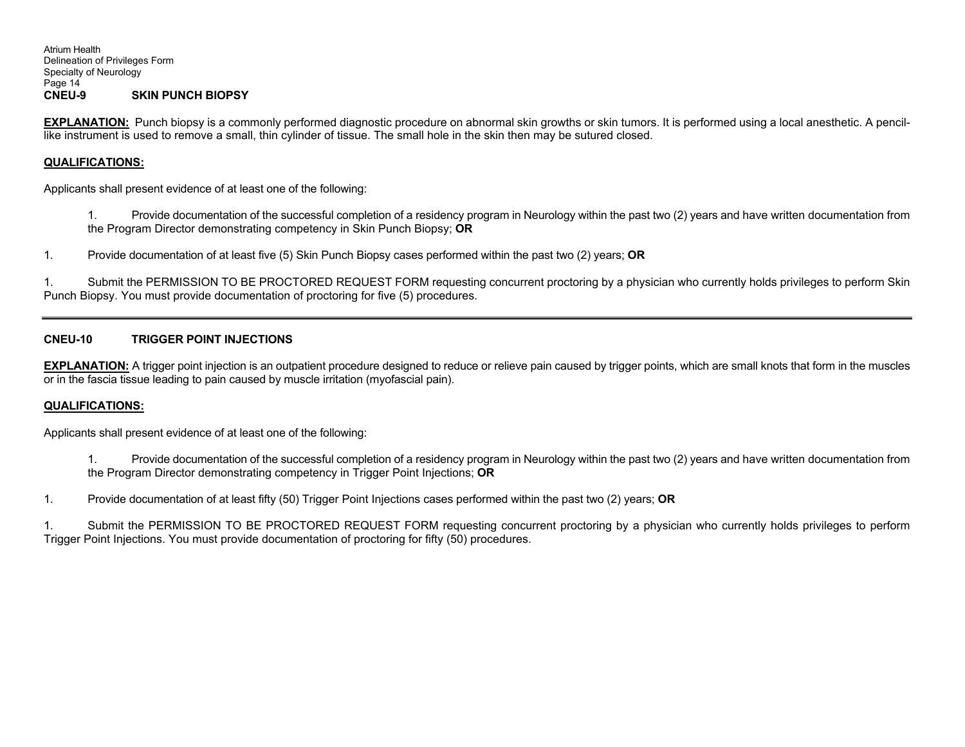**EXPLANATION:** Punch biopsy is a commonly performed diagnostic procedure on abnormal skin growths or skin tumors. It is performed using a local anesthetic. A pencillike instrument is used to remove a small, thin cylinder of tissue. The small hole in the skin then may be sutured closed.

#### **QUALIFICATIONS:**

Applicants shall present evidence of at least one of the following:

1. Provide documentation of the successful completion of a residency program in Neurology within the past two (2) years and have written documentation from the Program Director demonstrating competency in Skin Punch Biopsy; **OR** 

1. Provide documentation of at least five (5) Skin Punch Biopsy cases performed within the past two (2) years; **OR** 

1. Submit the PERMISSION TO BE PROCTORED REQUEST FORM requesting concurrent proctoring by a physician who currently holds privileges to perform Skin Punch Biopsy. You must provide documentation of proctoring for five (5) procedures.

#### **CNEU-10 TRIGGER POINT INJECTIONS**

**EXPLANATION:** A trigger point injection is an outpatient procedure designed to reduce or relieve pain caused by trigger points, which are small knots that form in the muscles or in the fascia tissue leading to pain caused by muscle irritation (myofascial pain).

#### **QUALIFICATIONS:**

Applicants shall present evidence of at least one of the following:

1. Provide documentation of the successful completion of a residency program in Neurology within the past two (2) years and have written documentation from the Program Director demonstrating competency in Trigger Point Injections; **OR** 

1. Provide documentation of at least fifty (50) Trigger Point Injections cases performed within the past two (2) years; **OR** 

1. Submit the PERMISSION TO BE PROCTORED REQUEST FORM requesting concurrent proctoring by a physician who currently holds privileges to perform Trigger Point Injections. You must provide documentation of proctoring for fifty (50) procedures.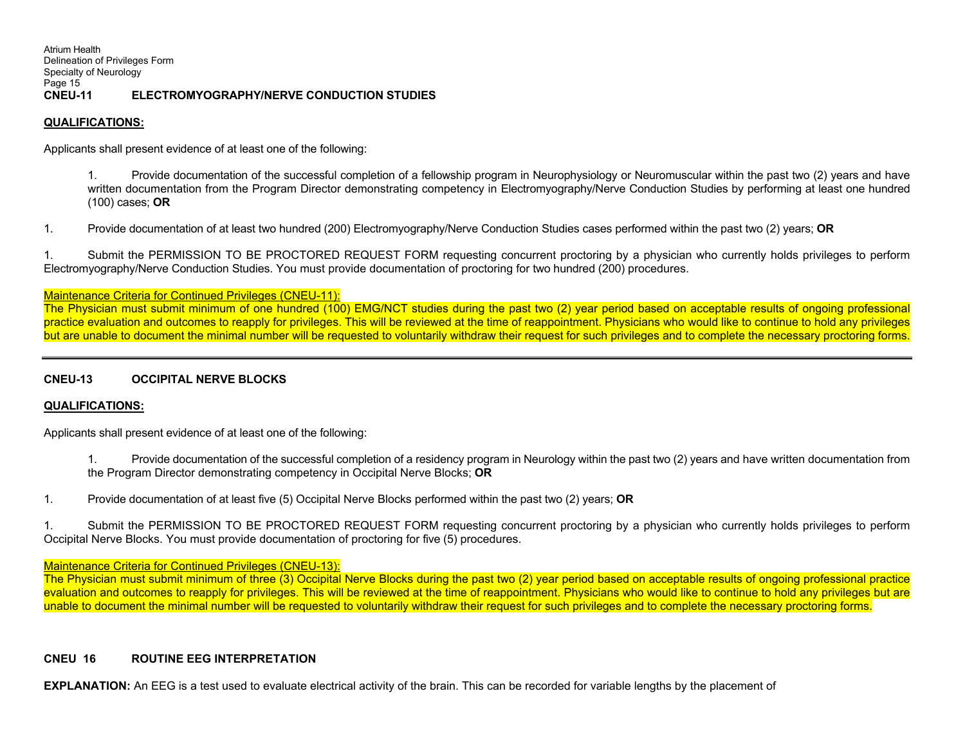Atrium Health Delineation of Privileges Form Specialty of Neurology Page 15<br>CNEU-11 **ELECTROMYOGRAPHY/NERVE CONDUCTION STUDIES** 

#### **QUALIFICATIONS:**

Applicants shall present evidence of at least one of the following:

1. Provide documentation of the successful completion of a fellowship program in Neurophysiology or Neuromuscular within the past two (2) years and have written documentation from the Program Director demonstrating competency in Electromyography/Nerve Conduction Studies by performing at least one hundred (100) cases; **OR** 

1. Provide documentation of at least two hundred (200) Electromyography/Nerve Conduction Studies cases performed within the past two (2) years; **OR** 

1. Submit the PERMISSION TO BE PROCTORED REQUEST FORM requesting concurrent proctoring by a physician who currently holds privileges to perform Electromyography/Nerve Conduction Studies. You must provide documentation of proctoring for two hundred (200) procedures.

#### Maintenance Criteria for Continued Privileges (CNEU-11):

The Physician must submit minimum of one hundred (100) EMG/NCT studies during the past two (2) year period based on acceptable results of ongoing professional practice evaluation and outcomes to reapply for privileges. This will be reviewed at the time of reappointment. Physicians who would like to continue to hold any privileges but are unable to document the minimal number will be requested to voluntarily withdraw their request for such privileges and to complete the necessary proctoring forms.

#### **CNEU-13 OCCIPITAL NERVE BLOCKS**

#### **QUALIFICATIONS:**

Applicants shall present evidence of at least one of the following:

1. Provide documentation of the successful completion of a residency program in Neurology within the past two (2) years and have written documentation from the Program Director demonstrating competency in Occipital Nerve Blocks; **OR** 

1. Provide documentation of at least five (5) Occipital Nerve Blocks performed within the past two (2) years; **OR** 

1. Submit the PERMISSION TO BE PROCTORED REQUEST FORM requesting concurrent proctoring by a physician who currently holds privileges to perform Occipital Nerve Blocks. You must provide documentation of proctoring for five (5) procedures.

#### Maintenance Criteria for Continued Privileges (CNEU-13):

The Physician must submit minimum of three (3) Occipital Nerve Blocks during the past two (2) year period based on acceptable results of ongoing professional practice evaluation and outcomes to reapply for privileges. This will be reviewed at the time of reappointment. Physicians who would like to continue to hold any privileges but are unable to document the minimal number will be requested to voluntarily withdraw their request for such privileges and to complete the necessary proctoring forms.

#### **CNEU 16 ROUTINE EEG INTERPRETATION**

**EXPLANATION:** An EEG is a test used to evaluate electrical activity of the brain. This can be recorded for variable lengths by the placement of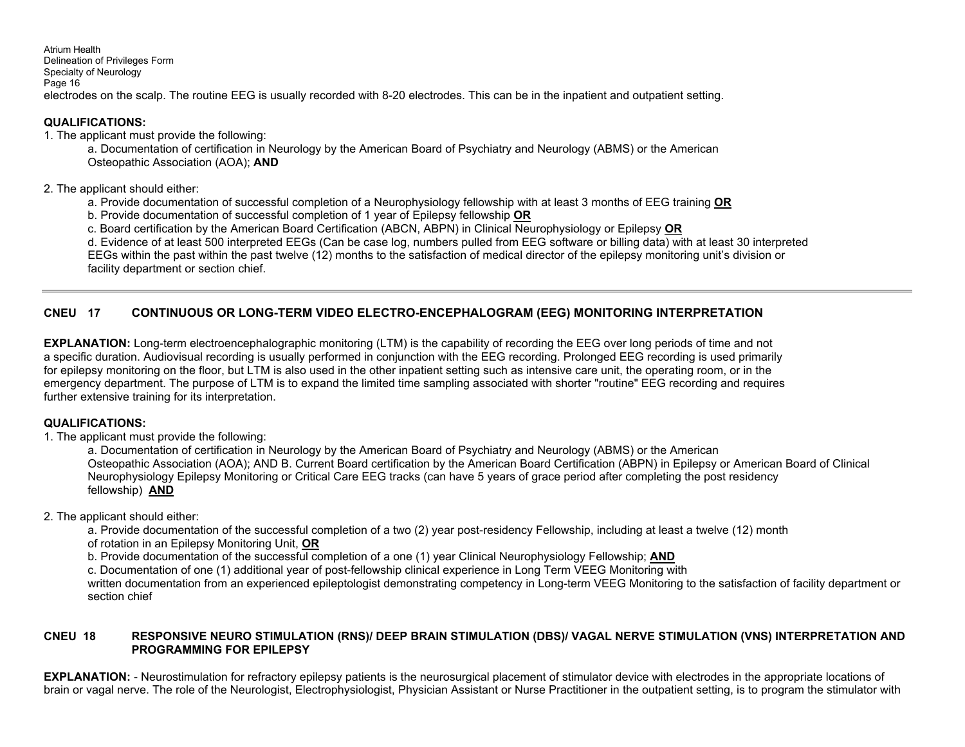Atrium Health Delineation of Privileges Form Specialty of Neurology Page 16 electrodes on the scalp. The routine EEG is usually recorded with 8-20 electrodes. This can be in the inpatient and outpatient setting.

## **QUALIFICATIONS:**

1. The applicant must provide the following:

a. Documentation of certification in Neurology by the American Board of Psychiatry and Neurology (ABMS) or the American Osteopathic Association (AOA); **AND**

2. The applicant should either:

- a. Provide documentation of successful completion of a Neurophysiology fellowship with at least 3 months of EEG training **OR**
- b. Provide documentation of successful completion of 1 year of Epilepsy fellowship **OR**
- c. Board certification by the American Board Certification (ABCN, ABPN) in Clinical Neurophysiology or Epilepsy **OR**

d. Evidence of at least 500 interpreted EEGs (Can be case log, numbers pulled from EEG software or billing data) with at least 30 interpreted

EEGs within the past within the past twelve (12) months to the satisfaction of medical director of the epilepsy monitoring unit's division or facility department or section chief.

# **CNEU 17 CONTINUOUS OR LONG-TERM VIDEO ELECTRO-ENCEPHALOGRAM (EEG) MONITORING INTERPRETATION**

**EXPLANATION:** Long-term electroencephalographic monitoring (LTM) is the capability of recording the EEG over long periods of time and not a specific duration. Audiovisual recording is usually performed in conjunction with the EEG recording. Prolonged EEG recording is used primarily for epilepsy monitoring on the floor, but LTM is also used in the other inpatient setting such as intensive care unit, the operating room, or in the emergency department. The purpose of LTM is to expand the limited time sampling associated with shorter "routine" EEG recording and requires further extensive training for its interpretation.

# **QUALIFICATIONS:**

1. The applicant must provide the following:

a. Documentation of certification in Neurology by the American Board of Psychiatry and Neurology (ABMS) or the American Osteopathic Association (AOA); AND B. Current Board certification by the American Board Certification (ABPN) in Epilepsy or American Board of Clinical Neurophysiology Epilepsy Monitoring or Critical Care EEG tracks (can have 5 years of grace period after completing the post residency fellowship) **AND** 

## 2. The applicant should either:

a. Provide documentation of the successful completion of a two (2) year post-residency Fellowship, including at least a twelve (12) month of rotation in an Epilepsy Monitoring Unit, **OR** 

b. Provide documentation of the successful completion of a one (1) year Clinical Neurophysiology Fellowship; **AND** 

c. Documentation of one (1) additional year of post-fellowship clinical experience in Long Term VEEG Monitoring with

written documentation from an experienced epileptologist demonstrating competency in Long-term VEEG Monitoring to the satisfaction of facility department or section chief

#### **CNEU 18 RESPONSIVE NEURO STIMULATION (RNS)/ DEEP BRAIN STIMULATION (DBS)/ VAGAL NERVE STIMULATION (VNS) INTERPRETATION AND PROGRAMMING FOR EPILEPSY**

**EXPLANATION:** - Neurostimulation for refractory epilepsy patients is the neurosurgical placement of stimulator device with electrodes in the appropriate locations of brain or vagal nerve. The role of the Neurologist, Electrophysiologist, Physician Assistant or Nurse Practitioner in the outpatient setting, is to program the stimulator with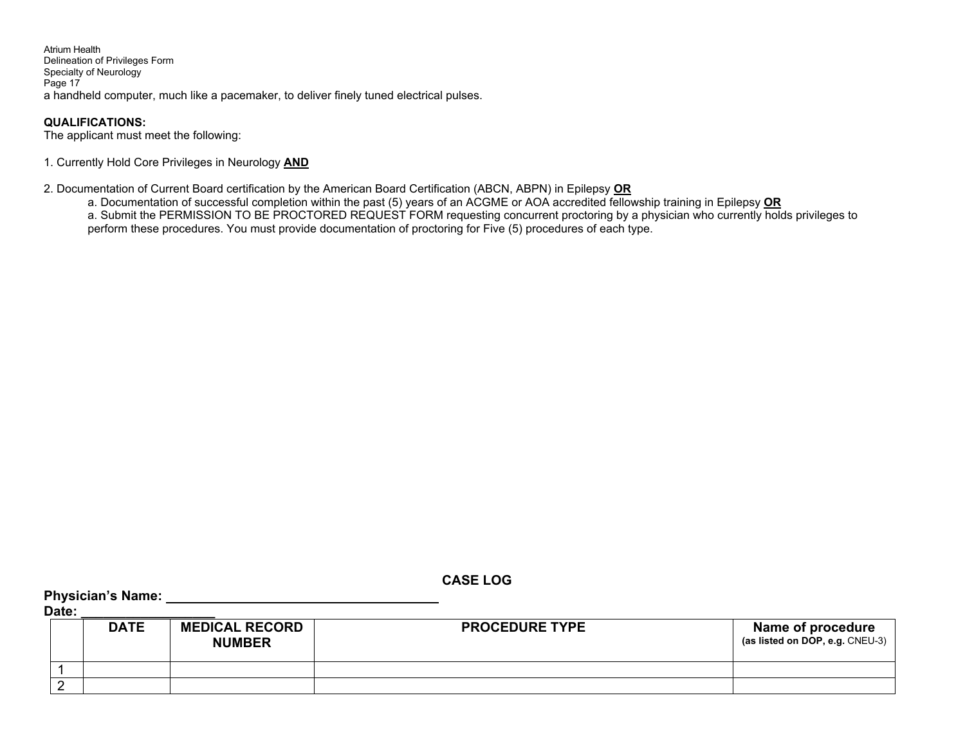Atrium Health Delineation of Privileges Form Specialty of Neurology Page 17 a handheld computer, much like a pacemaker, to deliver finely tuned electrical pulses.

## **QUALIFICATIONS:**

The applicant must meet the following:

1. Currently Hold Core Privileges in Neurology **AND** 

2. Documentation of Current Board certification by the American Board Certification (ABCN, ABPN) in Epilepsy **OR**

- a. Documentation of successful completion within the past (5) years of an ACGME or AOA accredited fellowship training in Epilepsy **OR**
- a. Submit the PERMISSION TO BE PROCTORED REQUEST FORM requesting concurrent proctoring by a physician who currently holds privileges to perform these procedures. You must provide documentation of proctoring for Five (5) procedures of each type.

| Date: | Physician's Name: |                                        |                       |                                                      |
|-------|-------------------|----------------------------------------|-----------------------|------------------------------------------------------|
|       | <b>DATE</b>       | <b>MEDICAL RECORD</b><br><b>NUMBER</b> | <b>PROCEDURE TYPE</b> | Name of procedure<br>(as listed on DOP, e.g. CNEU-3) |
|       |                   |                                        |                       |                                                      |
|       |                   |                                        |                       |                                                      |

**CASE LOG**